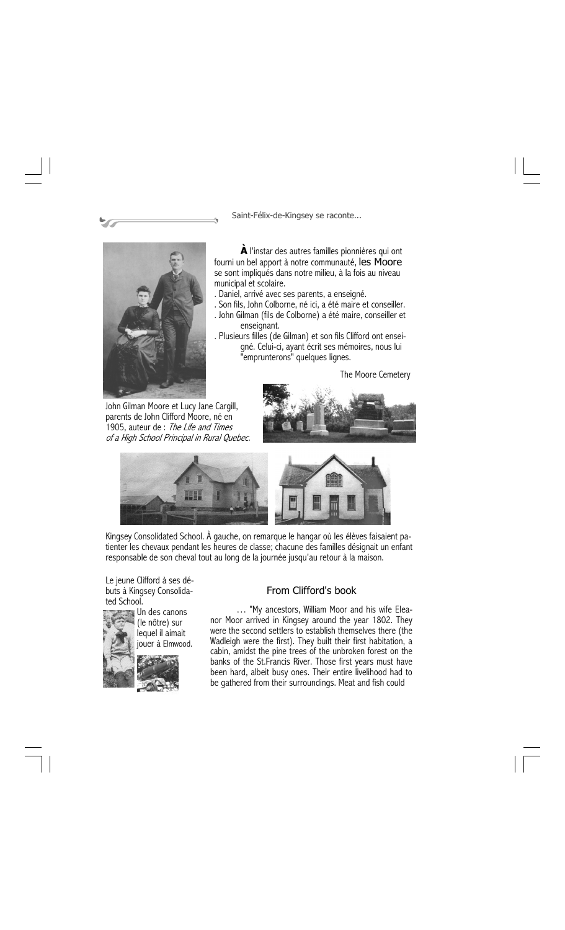$\overline{\phantom{a}}$ 

Saint-Félix-de-Kingsey se raconte...



**À** l'instar des autres familles pionnières qui ont fourni un bel apport à notre communauté, les Moore se sont impliqués dans notre milieu, à la fois au niveau municipal et scolaire.

. Daniel, arrivé avec ses parents, a enseigné.

. Son fils, John Colborne, né ici, a été maire et conseiller.

. John Gilman (fils de Colborne) a été maire, conseiller et enseignant.

. Plusieurs filles (de Gilman) et son fils Clifford ont ensei gné. Celui-ci, ayant écrit ses mémoires, nous lui "emprunterons" quelques lignes.

The Moore Cemetery

John Gilman Moore et Lucy Jane Cargill, parents de John Clifford Moore, né en 1905, auteur de : The Life and Times of a High School Principal in Rural Quebec.





Kingsey Consolidated School. À gauche, on remarque le hangar où les élèves faisaient patienter les chevaux pendant les heures de classe; chacune des familles désignait un enfant responsable de son cheval tout au long de la journée jusqu'au retour à la maison.

Le jeune Clifford à ses débuts à Kingsey Consolidated School.

> Un des canons (le nôtre) sur lequel il aimait





## From Clifford's book

 … "My ancestors, William Moor and his wife Eleanor Moor arrived in Kingsey around the year 1802. They were the second settlers to establish themselves there (the Wadleigh were the first). They built their first habitation, a cabin, amidst the pine trees of the unbroken forest on the banks of the St.Francis River. Those first years must have been hard, albeit busy ones. Their entire livelihood had to be gathered from their surroundings. Meat and fish could